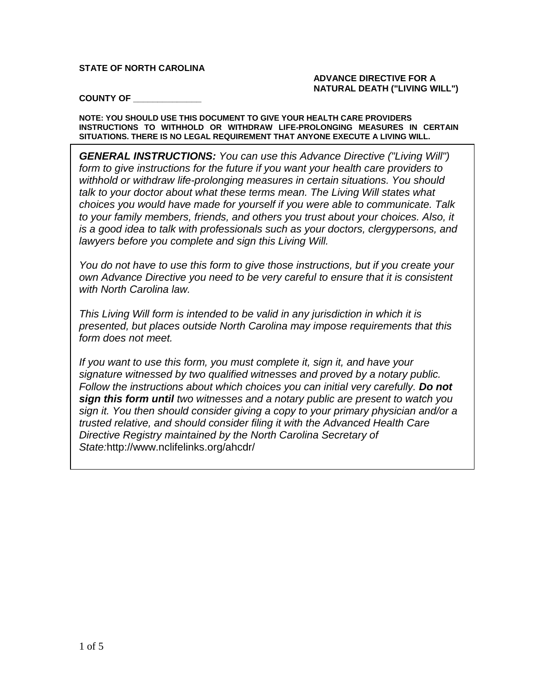### **STATE OF NORTH CAROLINA**

#### **ADVANCE DIRECTIVE FOR A NATURAL DEATH ("LIVING WILL")**

#### **COUNTY OF \_\_\_\_\_\_\_\_\_\_\_\_\_\_**

**NOTE: YOU SHOULD USE THIS DOCUMENT TO GIVE YOUR HEALTH CARE PROVIDERS INSTRUCTIONS TO WITHHOLD OR WITHDRAW LIFE-PROLONGING MEASURES IN CERTAIN SITUATIONS. THERE IS NO LEGAL REQUIREMENT THAT ANYONE EXECUTE A LIVING WILL.**

*GENERAL INSTRUCTIONS: You can use this Advance Directive ("Living Will") form to give instructions for the future if you want your health care providers to withhold or withdraw life-prolonging measures in certain situations. You should talk to your doctor about what these terms mean. The Living Will states what choices you would have made for yourself if you were able to communicate. Talk to your family members, friends, and others you trust about your choices. Also, it is a good idea to talk with professionals such as your doctors, clergypersons, and lawyers before you complete and sign this Living Will.*

*You do not have to use this form to give those instructions, but if you create your own Advance Directive you need to be very careful to ensure that it is consistent with North Carolina law.*

*This Living Will form is intended to be valid in any jurisdiction in which it is presented, but places outside North Carolina may impose requirements that this form does not meet.*

*If you want to use this form, you must complete it, sign it, and have your signature witnessed by two qualified witnesses and proved by a notary public. Follow the instructions about which choices you can initial very carefully. Do not sign this form until two witnesses and a notary public are present to watch you sign it. You then should consider giving a copy to your primary physician and/or a trusted relative, and should consider filing it with the Advanced Health Care Directive Registry maintained by the North Carolina Secretary of State:*http://www.nclifelinks.org/ahcdr/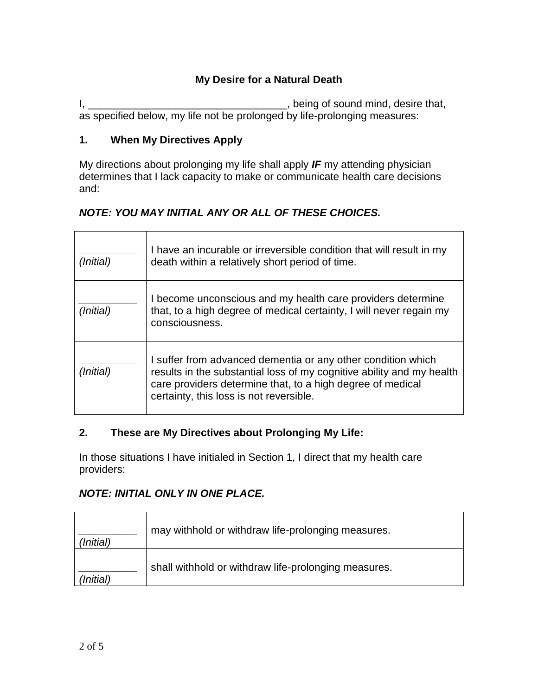# **My Desire for a Natural Death**

I, \_\_\_\_\_\_\_\_\_\_\_\_\_\_\_\_\_\_\_\_\_\_\_\_\_\_\_\_\_\_\_\_\_\_, being of sound mind, desire that, as specified below, my life not be prolonged by life-prolonging measures:

## **1. When My Directives Apply**

My directions about prolonging my life shall apply *IF* my attending physician determines that I lack capacity to make or communicate health care decisions and:

# *NOTE: YOU MAY INITIAL ANY OR ALL OF THESE CHOICES.*

| (Initial) | I have an incurable or irreversible condition that will result in my<br>death within a relatively short period of time.                                                                                                                        |
|-----------|------------------------------------------------------------------------------------------------------------------------------------------------------------------------------------------------------------------------------------------------|
| (Initial) | I become unconscious and my health care providers determine<br>that, to a high degree of medical certainty, I will never regain my<br>consciousness.                                                                                           |
| (Initial) | I suffer from advanced dementia or any other condition which<br>results in the substantial loss of my cognitive ability and my health<br>care providers determine that, to a high degree of medical<br>certainty, this loss is not reversible. |

### **2. These are My Directives about Prolonging My Life:**

In those situations I have initialed in Section 1, I direct that my health care providers:

### *NOTE: INITIAL ONLY IN ONE PLACE.*

| (Initial) | may withhold or withdraw life-prolonging measures.   |
|-----------|------------------------------------------------------|
| (Initial) | shall withhold or withdraw life-prolonging measures. |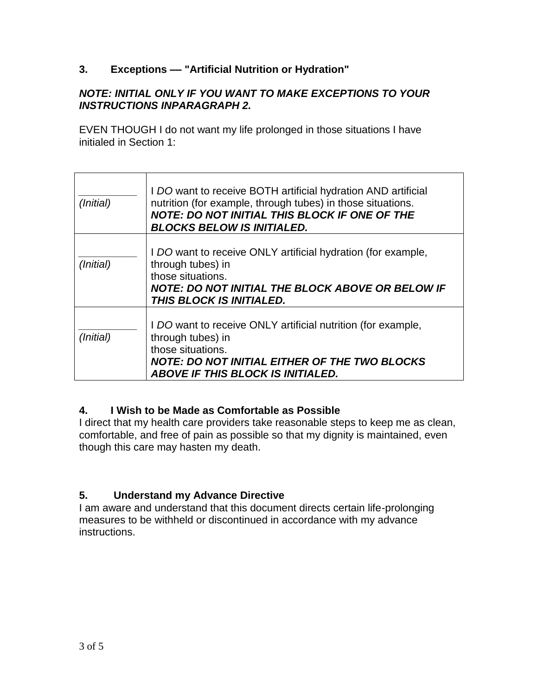### **3. Exceptions –– "Artificial Nutrition or Hydration"**

### *NOTE: INITIAL ONLY IF YOU WANT TO MAKE EXCEPTIONS TO YOUR INSTRUCTIONS INPARAGRAPH 2.*

EVEN THOUGH I do not want my life prolonged in those situations I have initialed in Section 1:

| (Initial) | I DO want to receive BOTH artificial hydration AND artificial<br>nutrition (for example, through tubes) in those situations.<br><b>NOTE: DO NOT INITIAL THIS BLOCK IF ONE OF THE</b><br><b>BLOCKS BELOW IS INITIALED.</b> |
|-----------|---------------------------------------------------------------------------------------------------------------------------------------------------------------------------------------------------------------------------|
| (Initial) | I DO want to receive ONLY artificial hydration (for example,<br>through tubes) in<br>those situations.<br><b>NOTE: DO NOT INITIAL THE BLOCK ABOVE OR BELOW IF</b><br>THIS BLOCK IS INITIALED.                             |
| (Initial) | I DO want to receive ONLY artificial nutrition (for example,<br>through tubes) in<br>those situations.<br><b>NOTE: DO NOT INITIAL EITHER OF THE TWO BLOCKS</b><br><b>ABOVE IF THIS BLOCK IS INITIALED.</b>                |

### **4. I Wish to be Made as Comfortable as Possible**

I direct that my health care providers take reasonable steps to keep me as clean, comfortable, and free of pain as possible so that my dignity is maintained, even though this care may hasten my death.

### **5. Understand my Advance Directive**

I am aware and understand that this document directs certain life-prolonging measures to be withheld or discontinued in accordance with my advance instructions.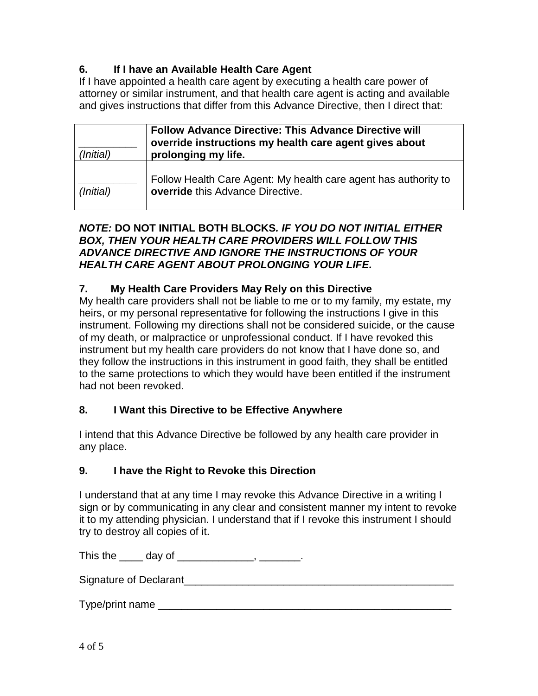## **6. If I have an Available Health Care Agent**

If I have appointed a health care agent by executing a health care power of attorney or similar instrument, and that health care agent is acting and available and gives instructions that differ from this Advance Directive, then I direct that:

| (Initial) | <b>Follow Advance Directive: This Advance Directive will</b><br>override instructions my health care agent gives about<br>prolonging my life. |  |
|-----------|-----------------------------------------------------------------------------------------------------------------------------------------------|--|
| (Initial) | Follow Health Care Agent: My health care agent has authority to<br>override this Advance Directive.                                           |  |

### *NOTE:* **DO NOT INITIAL BOTH BLOCKS***. IF YOU DO NOT INITIAL EITHER BOX, THEN YOUR HEALTH CARE PROVIDERS WILL FOLLOW THIS ADVANCE DIRECTIVE AND IGNORE THE INSTRUCTIONS OF YOUR HEALTH CARE AGENT ABOUT PROLONGING YOUR LIFE.*

## **7. My Health Care Providers May Rely on this Directive**

My health care providers shall not be liable to me or to my family, my estate, my heirs, or my personal representative for following the instructions I give in this instrument. Following my directions shall not be considered suicide, or the cause of my death, or malpractice or unprofessional conduct. If I have revoked this instrument but my health care providers do not know that I have done so, and they follow the instructions in this instrument in good faith, they shall be entitled to the same protections to which they would have been entitled if the instrument had not been revoked.

### **8. I Want this Directive to be Effective Anywhere**

I intend that this Advance Directive be followed by any health care provider in any place.

### **9. I have the Right to Revoke this Direction**

I understand that at any time I may revoke this Advance Directive in a writing I sign or by communicating in any clear and consistent manner my intent to revoke it to my attending physician. I understand that if I revoke this instrument I should try to destroy all copies of it.

This the day of the control of the control of the control of the control of the control of the control of the c

Signature of Declarant\_\_\_\_\_\_\_\_\_\_\_\_\_\_\_\_\_\_\_\_\_\_\_\_\_\_\_\_\_\_\_\_\_\_\_\_\_\_\_\_\_\_\_\_\_\_

Type/print name \_\_\_\_\_\_\_\_\_\_\_\_\_\_\_\_\_\_\_\_\_\_\_\_\_\_\_\_\_\_\_\_\_\_\_\_\_\_\_\_\_\_\_\_\_\_\_\_\_\_